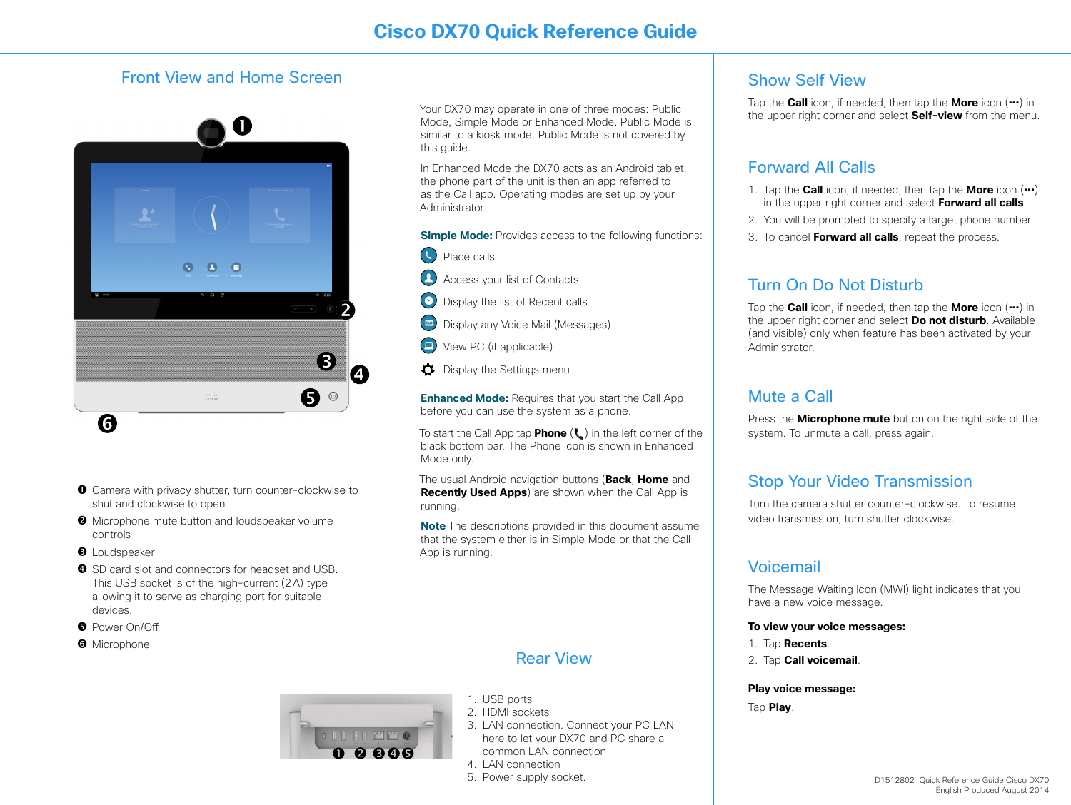### Front View and Home Screen



- Camera with privacy shutter, turn counter-clockwise to shut and clockwise to open
- $\Theta$  Microphone mute button and loudspeaker volume controls
- **<sup>O</sup>** Loudspeaker
- **O** SD card slot and connectors for headset and USB. This USB socket is of the high-current (2A) type allowing it to serve as charging port for suitable devices.
- **B** Power On/Off
- **O** Microphone

Your DX70 may operate in one of three modes: Public Mode, Simple Mode or Enhanced Mode. Public Mode is similar to a kiosk mode. Public Mode is not covered by this quide.

In Enhanced Mode the DX70 acts as an Android tablet, the phone part of the unit is then an app referred to as the Call app. Operating modes are set up by your Administrator.

**Simple Mode:** Provides access to the following functions:

- Place calls
- $\mathbf{C}$ Access your list of Contacts
- Display the list of Recent calls
- $\boxed{60}$ Display any Voice Mail (Messages)
- View PC (if applicable)
- Display the Settings menu

**Enhanced Mode:** Requires that you start the Call App before you can use the system as a phone.

To start the Call App tap **Phone** (L) in the left corner of the black bottom bar. The Phone icon is shown in Enhanced Mode only.

The usual Android navigation buttons (**Back**, **Home** and **Recently Used Apps**) are shown when the Call App is running.

**Note** The descriptions provided in this document assume that the system either is in Simple Mode or that the Call App is running.

### Rear View

- 1. USB ports
- 2. HDMI sockets
- 3. LAN connection. Connect your PC LAN here to let your DX70 and PC share a common LAN connection
- 4. LAN connection
- 5. Power supply socket.

### Show Self View

Tap the **Call** icon, if needed, then tap the **More** icon (**...**) in the upper right corner and select **Self-view** from the menu.

### Forward All Calls

- 1. Tap the **Call** icon, if needed, then tap the **More** icon (**...**) in the upper right corner and select **Forward all calls**.
- 2. You will be prompted to specify a target phone number.
- 3. To cancel **Forward all calls**, repeat the process.

## Turn On Do Not Disturb

Tap the **Call** icon, if needed, then tap the **More** icon (**...**) in the upper right corner and select **Do not disturb**. Available (and visible) only when feature has been activated by your Administrator.

### Mute a Call

Press the **Microphone mute** button on the right side of the system. To unmute a call, press again.

## Stop Your Video Transmission

Turn the camera shutter counter-clockwise. To resume video transmission, turn shutter clockwise.

### Voicemail

The Message Waiting Icon (MWI) light indicates that you have a new voice message.

### **To view your voice messages:**

- 1. Tap **Recents**.
- 2. Tap **Call voicemail**.

**Play voice message:**

Tap **Play**.